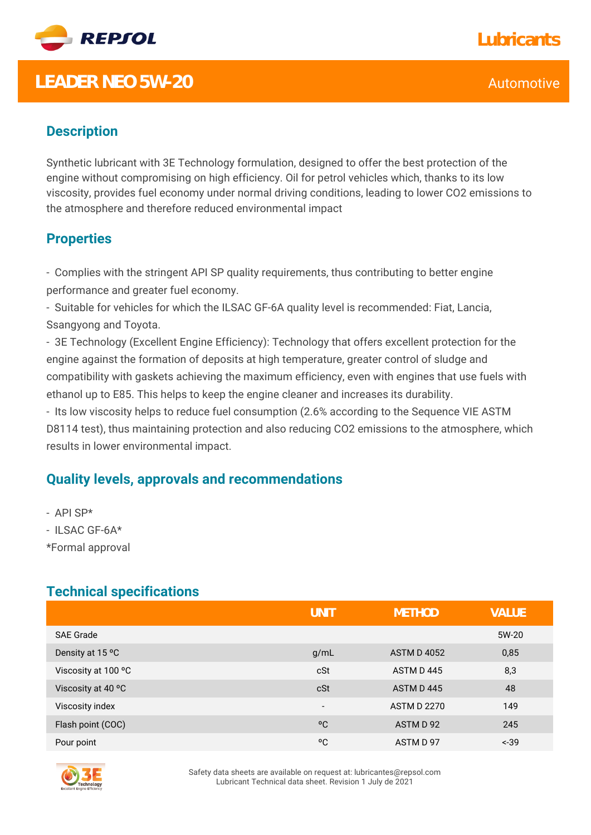

# **LEADER NEO 5W-20** Automotive **Automotive**

## **Description**

Synthetic lubricant with 3E Technology formulation, designed to offer the best protection of the engine without compromising on high efficiency. Oil for petrol vehicles which, thanks to its low viscosity, provides fuel economy under normal driving conditions, leading to lower CO2 emissions to the atmosphere and therefore reduced environmental impact

### **Properties**

- Complies with the stringent API SP quality requirements, thus contributing to better engine performance and greater fuel economy.

- Suitable for vehicles for which the ILSAC GF-6A quality level is recommended: Fiat, Lancia, Ssangyong and Toyota.

- 3E Technology (Excellent Engine Efficiency): Technology that offers excellent protection for the engine against the formation of deposits at high temperature, greater control of sludge and compatibility with gaskets achieving the maximum efficiency, even with engines that use fuels with ethanol up to E85. This helps to keep the engine cleaner and increases its durability.

- Its low viscosity helps to reduce fuel consumption (2.6% according to the Sequence VIE ASTM D8114 test), thus maintaining protection and also reducing CO2 emissions to the atmosphere, which results in lower environmental impact.

### **Quality levels, approvals and recommendations**

- API SP\*

- ILSAC GF-6A\*

\*Formal approval

### **Technical specifications**

|                     | UNIT                     | <b>METHOD</b>      | <b>VALUE</b> |
|---------------------|--------------------------|--------------------|--------------|
| <b>SAE Grade</b>    |                          |                    | 5W-20        |
| Density at 15 °C    | g/mL                     | <b>ASTM D 4052</b> | 0,85         |
| Viscosity at 100 °C | cSt                      | ASTM D445          | 8,3          |
| Viscosity at 40 °C  | cSt                      | ASTM D445          | 48           |
| Viscosity index     | $\overline{\phantom{a}}$ | <b>ASTM D 2270</b> | 149          |
| Flash point (COC)   | $^{\circ}$ C             | ASTM D 92          | 245          |
| Pour point          | °C                       | ASTM D 97          | $-39$        |



Safety data sheets are available on request at: lubricantes@repsol.com Lubricant Technical data sheet. Revision 1 July de 2021